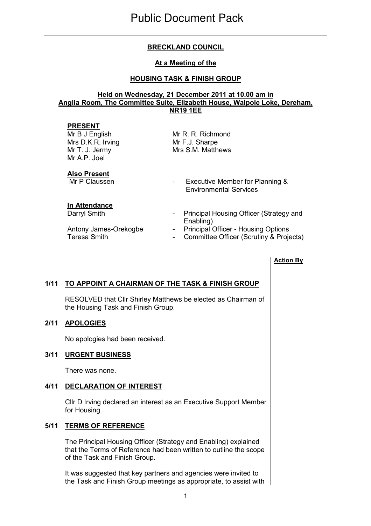# BRECKLAND COUNCIL

### At a Meeting of the

## HOUSING TASK & FINISH GROUP

#### Held on Wednesday, 21 December 2011 at 10.00 am in Anglia Room, The Committee Suite, Elizabeth House, Walpole Loke, Dereham, NR19 1EE

#### PRESENT

Mr B J English Mrs D.K.R. Irving Mr T. J. Jermy Mr A.P. Joel

Mr R. R. Richmond Mr F.J. Sharpe Mrs S.M. Matthews

# **Also Present**<br>Mr P Claussen

#### In Attendance

- Executive Member for Planning & Environmental Services
- Darryl Smith **Darryl Smith** Principal Housing Officer (Strategy and Enabling)
- Antony James-Orekogbe Principal Officer Housing Options
- Teresa Smith **Teresa Smith** Committee Officer (Scrutiny & Projects)

# Action By

## 1/11 TO APPOINT A CHAIRMAN OF THE TASK & FINISH GROUP

 RESOLVED that Cllr Shirley Matthews be elected as Chairman of the Housing Task and Finish Group.

#### 2/11 APOLOGIES

No apologies had been received.

#### 3/11 URGENT BUSINESS

There was none.

## 4/11 DECLARATION OF INTEREST

 Cllr D Irving declared an interest as an Executive Support Member for Housing.

## 5/11 TERMS OF REFERENCE

 The Principal Housing Officer (Strategy and Enabling) explained that the Terms of Reference had been written to outline the scope of the Task and Finish Group.

It was suggested that key partners and agencies were invited to the Task and Finish Group meetings as appropriate, to assist with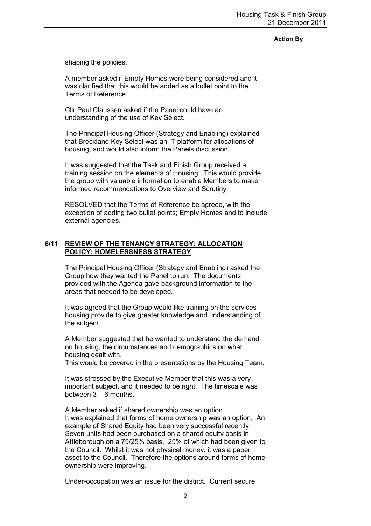### Action By

shaping the policies.

A member asked if Empty Homes were being considered and it was clarified that this would be added as a bullet point to the Terms of Reference.

Cllr Paul Claussen asked if the Panel could have an understanding of the use of Key Select.

The Principal Housing Officer (Strategy and Enabling) explained that Breckland Key Select was an IT platform for allocations of housing, and would also inform the Panels discussion.

It was suggested that the Task and Finish Group received a training session on the elements of Housing. This would provide the group with valuable information to enable Members to make informed recommendations to Overview and Scrutiny.

RESOLVED that the Terms of Reference be agreed, with the exception of adding two bullet points; Empty Homes and to include external agencies.

#### 6/11 REVIEW OF THE TENANCY STRATEGY; ALLOCATION POLICY; HOMELESSNESS STRATEGY

 The Principal Housing Officer (Strategy and Enabling) asked the Group how they wanted the Panel to run. The documents provided with the Agenda gave background information to the areas that needed to be developed.

It was agreed that the Group would like training on the services housing provide to give greater knowledge and understanding of the subject.

A Member suggested that he wanted to understand the demand on housing, the circumstances and demographics on what housing dealt with.

This would be covered in the presentations by the Housing Team.

It was stressed by the Executive Member that this was a very important subject, and it needed to be right. The timescale was between  $3 - 6$  months.

A Member asked if shared ownership was an option. It was explained that forms of home ownership was an option. An example of Shared Equity had been very successful recently. Seven units had been purchased on a shared equity basis in Attleborough on a 75/25% basis. 25% of which had been given to the Council. Whilst it was not physical money, it was a paper asset to the Council. Therefore the options around forms of home ownership were improving.

Under-occupation was an issue for the district. Current secure